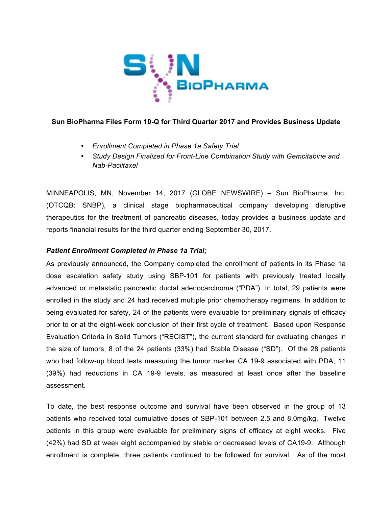

## **Sun BioPharma Files Form 10-Q for Third Quarter 2017 and Provides Business Update**

- *Enrollment Completed in Phase 1a Safety Trial*
- *Study Design Finalized for Front-Line Combination Study with Gemcitabine and Nab-Paclitaxel*

MINNEAPOLIS, MN, November 14, 2017 (GLOBE NEWSWIRE) – Sun BioPharma, Inc. (OTCQB: SNBP), a clinical stage biopharmaceutical company developing disruptive therapeutics for the treatment of pancreatic diseases, today provides a business update and reports financial results for the third quarter ending September 30, 2017.

## *Patient Enrollment Completed in Phase 1a Trial;*

As previously announced, the Company completed the enrollment of patients in its Phase 1a dose escalation safety study using SBP-101 for patients with previously treated locally advanced or metastatic pancreatic ductal adenocarcinoma ("PDA"). In total, 29 patients were enrolled in the study and 24 had received multiple prior chemotherapy regimens. In addition to being evaluated for safety, 24 of the patients were evaluable for preliminary signals of efficacy prior to or at the eight-week conclusion of their first cycle of treatment. Based upon Response Evaluation Criteria in Solid Tumors ("RECIST"), the current standard for evaluating changes in the size of tumors, 8 of the 24 patients (33%) had Stable Disease ("SD"). Of the 28 patients who had follow-up blood tests measuring the tumor marker CA 19-9 associated with PDA, 11 (39%) had reductions in CA 19-9 levels, as measured at least once after the baseline assessment.

To date, the best response outcome and survival have been observed in the group of 13 patients who received total cumulative doses of SBP-101 between 2.5 and 8.0mg/kg. Twelve patients in this group were evaluable for preliminary signs of efficacy at eight weeks. Five (42%) had SD at week eight accompanied by stable or decreased levels of CA19-9. Although enrollment is complete, three patients continued to be followed for survival. As of the most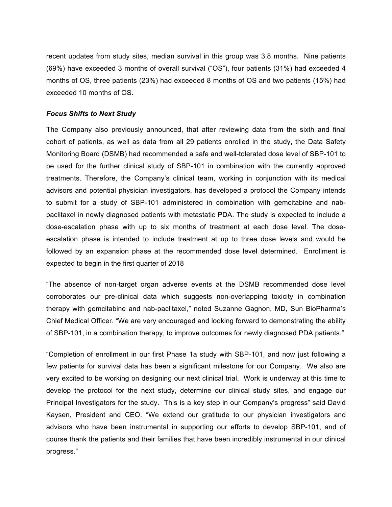recent updates from study sites, median survival in this group was 3.8 months. Nine patients (69%) have exceeded 3 months of overall survival ("OS"), four patients (31%) had exceeded 4 months of OS, three patients (23%) had exceeded 8 months of OS and two patients (15%) had exceeded 10 months of OS.

#### *Focus Shifts to Next Study*

The Company also previously announced, that after reviewing data from the sixth and final cohort of patients, as well as data from all 29 patients enrolled in the study, the Data Safety Monitoring Board (DSMB) had recommended a safe and well-tolerated dose level of SBP-101 to be used for the further clinical study of SBP-101 in combination with the currently approved treatments. Therefore, the Company's clinical team, working in conjunction with its medical advisors and potential physician investigators, has developed a protocol the Company intends to submit for a study of SBP-101 administered in combination with gemcitabine and nabpaclitaxel in newly diagnosed patients with metastatic PDA. The study is expected to include a dose-escalation phase with up to six months of treatment at each dose level. The doseescalation phase is intended to include treatment at up to three dose levels and would be followed by an expansion phase at the recommended dose level determined. Enrollment is expected to begin in the first quarter of 2018

"The absence of non-target organ adverse events at the DSMB recommended dose level corroborates our pre-clinical data which suggests non-overlapping toxicity in combination therapy with gemcitabine and nab-paclitaxel," noted Suzanne Gagnon, MD, Sun BioPharma's Chief Medical Officer. "We are very encouraged and looking forward to demonstrating the ability of SBP-101, in a combination therapy, to improve outcomes for newly diagnosed PDA patients."

"Completion of enrollment in our first Phase 1a study with SBP-101, and now just following a few patients for survival data has been a significant milestone for our Company. We also are very excited to be working on designing our next clinical trial. Work is underway at this time to develop the protocol for the next study, determine our clinical study sites, and engage our Principal Investigators for the study. This is a key step in our Company's progress" said David Kaysen, President and CEO. "We extend our gratitude to our physician investigators and advisors who have been instrumental in supporting our efforts to develop SBP-101, and of course thank the patients and their families that have been incredibly instrumental in our clinical progress."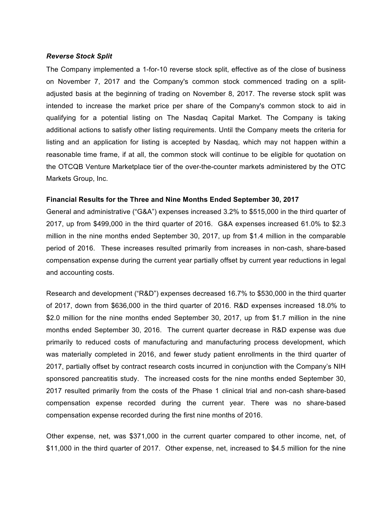#### *Reverse Stock Split*

The Company implemented a 1-for-10 reverse stock split, effective as of the close of business on November 7, 2017 and the Company's common stock commenced trading on a splitadjusted basis at the beginning of trading on November 8, 2017. The reverse stock split was intended to increase the market price per share of the Company's common stock to aid in qualifying for a potential listing on The Nasdaq Capital Market. The Company is taking additional actions to satisfy other listing requirements. Until the Company meets the criteria for listing and an application for listing is accepted by Nasdaq, which may not happen within a reasonable time frame, if at all, the common stock will continue to be eligible for quotation on the OTCQB Venture Marketplace tier of the over-the-counter markets administered by the OTC Markets Group, Inc.

#### **Financial Results for the Three and Nine Months Ended September 30, 2017**

General and administrative ("G&A") expenses increased 3.2% to \$515,000 in the third quarter of 2017, up from \$499,000 in the third quarter of 2016. G&A expenses increased 61.0% to \$2.3 million in the nine months ended September 30, 2017, up from \$1.4 million in the comparable period of 2016. These increases resulted primarily from increases in non-cash, share-based compensation expense during the current year partially offset by current year reductions in legal and accounting costs.

Research and development ("R&D") expenses decreased 16.7% to \$530,000 in the third quarter of 2017, down from \$636,000 in the third quarter of 2016. R&D expenses increased 18.0% to \$2.0 million for the nine months ended September 30, 2017, up from \$1.7 million in the nine months ended September 30, 2016. The current quarter decrease in R&D expense was due primarily to reduced costs of manufacturing and manufacturing process development, which was materially completed in 2016, and fewer study patient enrollments in the third quarter of 2017, partially offset by contract research costs incurred in conjunction with the Company's NIH sponsored pancreatitis study. The increased costs for the nine months ended September 30, 2017 resulted primarily from the costs of the Phase 1 clinical trial and non-cash share-based compensation expense recorded during the current year. There was no share-based compensation expense recorded during the first nine months of 2016.

Other expense, net, was \$371,000 in the current quarter compared to other income, net, of \$11,000 in the third quarter of 2017. Other expense, net, increased to \$4.5 million for the nine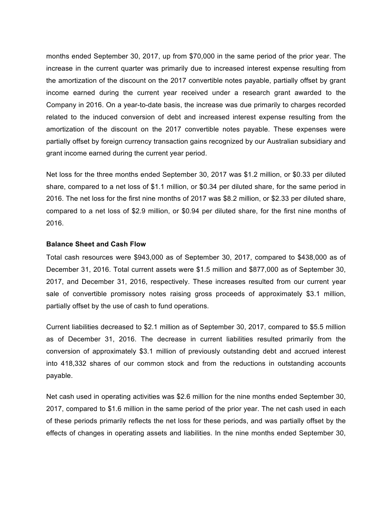months ended September 30, 2017, up from \$70,000 in the same period of the prior year. The increase in the current quarter was primarily due to increased interest expense resulting from the amortization of the discount on the 2017 convertible notes payable, partially offset by grant income earned during the current year received under a research grant awarded to the Company in 2016. On a year-to-date basis, the increase was due primarily to charges recorded related to the induced conversion of debt and increased interest expense resulting from the amortization of the discount on the 2017 convertible notes payable. These expenses were partially offset by foreign currency transaction gains recognized by our Australian subsidiary and grant income earned during the current year period.

Net loss for the three months ended September 30, 2017 was \$1.2 million, or \$0.33 per diluted share, compared to a net loss of \$1.1 million, or \$0.34 per diluted share, for the same period in 2016. The net loss for the first nine months of 2017 was \$8.2 million, or \$2.33 per diluted share, compared to a net loss of \$2.9 million, or \$0.94 per diluted share, for the first nine months of 2016.

#### **Balance Sheet and Cash Flow**

Total cash resources were \$943,000 as of September 30, 2017, compared to \$438,000 as of December 31, 2016. Total current assets were \$1.5 million and \$877,000 as of September 30, 2017, and December 31, 2016, respectively. These increases resulted from our current year sale of convertible promissory notes raising gross proceeds of approximately \$3.1 million, partially offset by the use of cash to fund operations.

Current liabilities decreased to \$2.1 million as of September 30, 2017, compared to \$5.5 million as of December 31, 2016. The decrease in current liabilities resulted primarily from the conversion of approximately \$3.1 million of previously outstanding debt and accrued interest into 418,332 shares of our common stock and from the reductions in outstanding accounts payable.

Net cash used in operating activities was \$2.6 million for the nine months ended September 30, 2017, compared to \$1.6 million in the same period of the prior year. The net cash used in each of these periods primarily reflects the net loss for these periods, and was partially offset by the effects of changes in operating assets and liabilities. In the nine months ended September 30,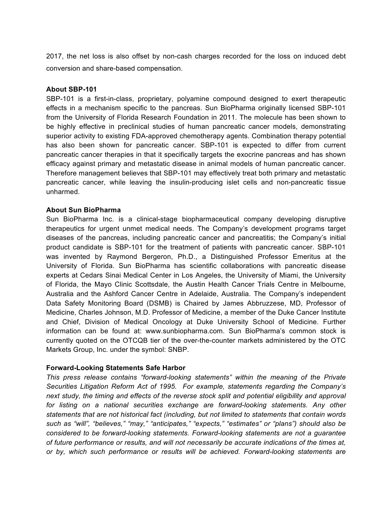2017, the net loss is also offset by non-cash charges recorded for the loss on induced debt conversion and share-based compensation.

### **About SBP-101**

SBP-101 is a first-in-class, proprietary, polyamine compound designed to exert therapeutic effects in a mechanism specific to the pancreas. Sun BioPharma originally licensed SBP-101 from the University of Florida Research Foundation in 2011. The molecule has been shown to be highly effective in preclinical studies of human pancreatic cancer models, demonstrating superior activity to existing FDA-approved chemotherapy agents. Combination therapy potential has also been shown for pancreatic cancer. SBP-101 is expected to differ from current pancreatic cancer therapies in that it specifically targets the exocrine pancreas and has shown efficacy against primary and metastatic disease in animal models of human pancreatic cancer. Therefore management believes that SBP-101 may effectively treat both primary and metastatic pancreatic cancer, while leaving the insulin-producing islet cells and non-pancreatic tissue unharmed.

### **About Sun BioPharma**

Sun BioPharma Inc. is a clinical-stage biopharmaceutical company developing disruptive therapeutics for urgent unmet medical needs. The Company's development programs target diseases of the pancreas, including pancreatic cancer and pancreatitis; the Company's initial product candidate is SBP-101 for the treatment of patients with pancreatic cancer. SBP-101 was invented by Raymond Bergeron, Ph.D., a Distinguished Professor Emeritus at the University of Florida. Sun BioPharma has scientific collaborations with pancreatic disease experts at Cedars Sinai Medical Center in Los Angeles, the University of Miami, the University of Florida, the Mayo Clinic Scottsdale, the Austin Health Cancer Trials Centre in Melbourne, Australia and the Ashford Cancer Centre in Adelaide, Australia. The Company's independent Data Safety Monitoring Board (DSMB) is Chaired by James Abbruzzese, MD, Professor of Medicine, Charles Johnson, M.D. Professor of Medicine, a member of the Duke Cancer Institute and Chief, Division of Medical Oncology at Duke University School of Medicine. Further information can be found at: www.sunbiopharma.com. Sun BioPharma's common stock is currently quoted on the OTCQB tier of the over-the-counter markets administered by the OTC Markets Group, Inc. under the symbol: SNBP.

## **Forward-Looking Statements Safe Harbor**

*This press release contains "forward-looking statements" within the meaning of the Private Securities Litigation Reform Act of 1995. For example, statements regarding the Company's next study, the timing and effects of the reverse stock split and potential eligibility and approval for listing on a national securities exchange are forward-looking statements. Any other statements that are not historical fact (including, but not limited to statements that contain words such as "will", "believes," "may," "anticipates," "expects," "estimates" or "plans") should also be considered to be forward-looking statements. Forward-looking statements are not a guarantee of future performance or results, and will not necessarily be accurate indications of the times at, or by, which such performance or results will be achieved. Forward-looking statements are*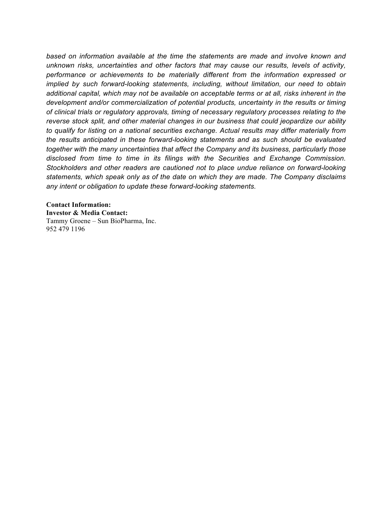*based on information available at the time the statements are made and involve known and unknown risks, uncertainties and other factors that may cause our results, levels of activity, performance or achievements to be materially different from the information expressed or implied by such forward-looking statements, including, without limitation, our need to obtain additional capital, which may not be available on acceptable terms or at all, risks inherent in the development and/or commercialization of potential products, uncertainty in the results or timing of clinical trials or regulatory approvals, timing of necessary regulatory processes relating to the reverse stock split, and other material changes in our business that could jeopardize our ability to qualify for listing on a national securities exchange. Actual results may differ materially from the results anticipated in these forward-looking statements and as such should be evaluated together with the many uncertainties that affect the Company and its business, particularly those disclosed from time to time in its filings with the Securities and Exchange Commission. Stockholders and other readers are cautioned not to place undue reliance on forward-looking statements, which speak only as of the date on which they are made. The Company disclaims any intent or obligation to update these forward-looking statements.*

**Contact Information: Investor & Media Contact:** Tammy Groene – Sun BioPharma, Inc. 952 479 1196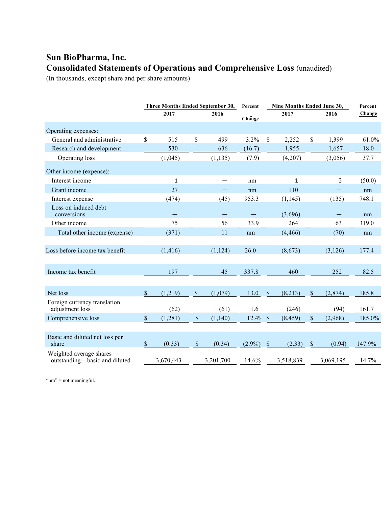# **Sun BioPharma, Inc. Consolidated Statements of Operations and Comprehensive Loss** (unaudited)

(In thousands, except share and per share amounts)

|                                                          | Three Months Ended September 30, |              |                           | Percent   | Nine Months Ended June 30, |               |           |    | Percent   |        |
|----------------------------------------------------------|----------------------------------|--------------|---------------------------|-----------|----------------------------|---------------|-----------|----|-----------|--------|
|                                                          |                                  | 2017         |                           | 2016      | Change                     |               | 2017      |    | 2016      | Change |
| Operating expenses:                                      |                                  |              |                           |           |                            |               |           |    |           |        |
| General and administrative                               | $\mathbb{S}$                     | 515          | $\mathbb{S}$              | 499       | 3.2%                       | $\mathsf{\$}$ | 2,252     | \$ | 1,399     | 61.0%  |
| Research and development                                 |                                  | 530          |                           | 636       | (16.7)                     |               | 1,955     |    | 1,657     | 18.0   |
| Operating loss                                           |                                  | (1,045)      |                           | (1, 135)  | (7.9)                      |               | (4,207)   |    | (3,056)   | 37.7   |
| Other income (expense):                                  |                                  |              |                           |           |                            |               |           |    |           |        |
| Interest income                                          |                                  | $\mathbf{1}$ |                           |           | nm                         |               | 1         |    | 2         | (50.0) |
| Grant income                                             |                                  | 27           |                           |           | nm                         |               | 110       |    |           | nm     |
| Interest expense                                         |                                  | (474)        |                           | (45)      | 953.3                      |               | (1, 145)  |    | (135)     | 748.1  |
| Loss on induced debt<br>conversions                      |                                  |              |                           |           |                            |               | (3,696)   |    |           | nm     |
| Other income                                             |                                  | 75           |                           | 56        | 33.9                       |               | 264       |    | 63        | 319.0  |
| Total other income (expense)                             |                                  | (371)        |                           | 11        | nm                         |               | (4, 466)  |    | (70)      | nm     |
|                                                          |                                  |              |                           |           |                            |               |           |    |           |        |
| Loss before income tax benefit                           |                                  | (1, 416)     |                           | (1, 124)  | 26.0                       |               | (8,673)   |    | (3, 126)  | 177.4  |
|                                                          |                                  |              |                           |           |                            |               |           |    |           |        |
| Income tax benefit                                       |                                  | 197          |                           | 45        | 337.8                      |               | 460       |    | 252       | 82.5   |
|                                                          |                                  |              |                           |           |                            |               |           |    |           |        |
| Net loss                                                 | $\mathbb S$                      | (1,219)      | $\mathsf{\$}$             | (1,079)   | 13.0                       | $\mathcal{S}$ | (8,213)   | \$ | (2,874)   | 185.8  |
| Foreign currency translation<br>adjustment loss          |                                  | (62)         |                           | (61)      | 1.6                        |               | (246)     |    | (94)      | 161.7  |
| Comprehensive loss                                       | $\mathbb{S}$                     | (1,281)      | $\mathbb{S}$              | (1,140)   | 12.4%                      | $\$$          | (8, 459)  | \$ | (2,968)   | 185.0% |
|                                                          |                                  |              |                           |           |                            |               |           |    |           |        |
| Basic and diluted net loss per<br>share                  | \$                               | (0.33)       | $\boldsymbol{\mathsf{S}}$ | (0.34)    | $(2.9\%)$                  | $\mathbb{S}$  | (2.33)    | \$ | (0.94)    | 147.9% |
| Weighted average shares<br>outstanding-basic and diluted |                                  | 3,670,443    |                           | 3,201,700 | 14.6%                      |               | 3,518,839 |    | 3,069,195 | 14.7%  |

"nm" = not meaningful.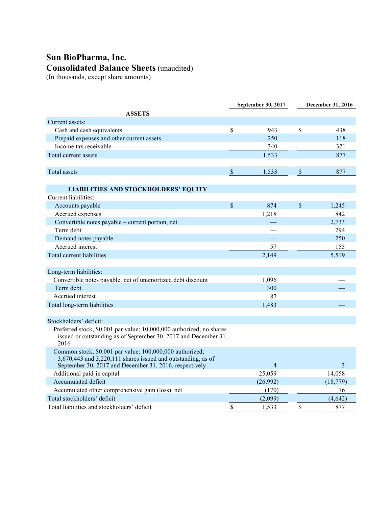# **Sun BioPharma, Inc. Consolidated Balance Sheets** (unaudited)

(In thousands, except share amounts)

|                                                                                      | <b>September 30, 2017</b> |                | December 31, 2016 |           |  |
|--------------------------------------------------------------------------------------|---------------------------|----------------|-------------------|-----------|--|
| <b>ASSETS</b>                                                                        |                           |                |                   |           |  |
| Current assets:                                                                      |                           |                |                   |           |  |
| Cash and cash equivalents                                                            | $\mathsf{\$}$             | 943            | \$                | 438       |  |
| Prepaid expenses and other current assets                                            |                           | 250            |                   | 118       |  |
| Income tax receivable                                                                |                           | 340            |                   | 321       |  |
| Total current assets                                                                 |                           | 1,533          |                   | 877       |  |
|                                                                                      |                           |                |                   |           |  |
| <b>Total assets</b>                                                                  | $\mathbb{S}$              | 1,533          | $\mathcal{S}$     | 877       |  |
|                                                                                      |                           |                |                   |           |  |
| <b>LIABILITIES AND STOCKHOLDERS' EQUITY</b>                                          |                           |                |                   |           |  |
| Current liabilities:                                                                 |                           |                |                   |           |  |
| Accounts payable                                                                     | $\mathbf{\hat{S}}$        | 874            | \$                | 1,245     |  |
| Accrued expenses                                                                     |                           | 1,218          |                   | 842       |  |
| Convertible notes payable – current portion, net                                     |                           |                |                   | 2,733     |  |
| Term debt                                                                            |                           |                |                   | 294       |  |
| Demand notes payable                                                                 |                           |                |                   | 250       |  |
| Accrued interest                                                                     |                           | 57             |                   | 155       |  |
| Total current liabilities                                                            |                           | 2,149          |                   | 5,519     |  |
|                                                                                      |                           |                |                   |           |  |
| Long-term liabilities:                                                               |                           |                |                   |           |  |
| Convertible notes payable, net of unamortized debt discount                          |                           | 1,096          |                   |           |  |
| Term debt                                                                            |                           | 300            |                   |           |  |
| Accrued interest                                                                     |                           | 87             |                   |           |  |
| Total long-term liabilities                                                          |                           | 1,483          |                   |           |  |
|                                                                                      |                           |                |                   |           |  |
| Stockholders' deficit:                                                               |                           |                |                   |           |  |
| Preferred stock, \$0.001 par value; 10,000,000 authorized; no shares                 |                           |                |                   |           |  |
| issued or outstanding as of September 30, 2017 and December 31,                      |                           |                |                   |           |  |
| 2016                                                                                 |                           |                |                   |           |  |
| Common stock, \$0.001 par value; 100,000,000 authorized;                             |                           |                |                   |           |  |
| $3,670,443$ and $3,220,111$ shares issued and outstanding, as of                     |                           | $\overline{4}$ |                   | 3         |  |
| September 30, 2017 and December 31, 2016, respectively<br>Additional paid-in capital |                           | 25,059         |                   | 14,058    |  |
| Accumulated deficit                                                                  |                           | (26,992)       |                   | (18, 779) |  |
| Accumulated other comprehensive gain (loss), net                                     |                           | (170)          |                   | 76        |  |
| Total stockholders' deficit                                                          |                           | (2,099)        |                   | (4, 642)  |  |
|                                                                                      | $\mathbb S$               |                |                   |           |  |
| Total liabilities and stockholders' deficit                                          |                           | 1,533          | $\mathbb{S}$      | 877       |  |